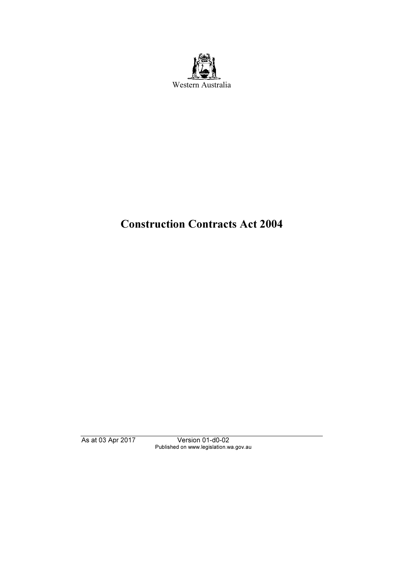

# Construction Contracts Act 2004

As at 03 Apr 2017 Version 01-d0-02 Published on www.legislation.wa.gov.au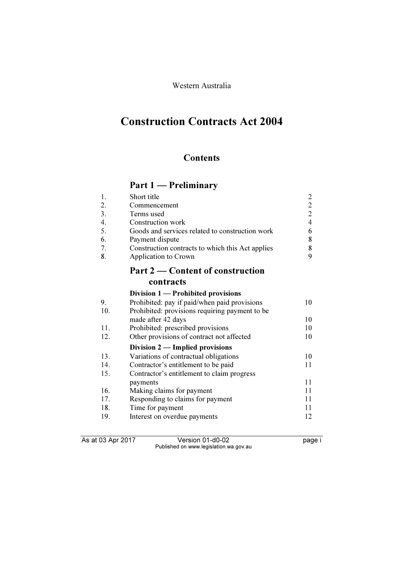Western Australia

# Construction Contracts Act 2004

## **Contents**

# Part 1 — Preliminary

| 1.  | Short title                                      | $\overline{2}$ |
|-----|--------------------------------------------------|----------------|
| 2.  | Commencement                                     | $\overline{2}$ |
| 3.  | Terms used                                       | $\overline{2}$ |
| 4.  | Construction work                                | $\overline{4}$ |
| 5.  | Goods and services related to construction work  | 6              |
| 6.  | Payment dispute                                  | 8              |
| 7.  | Construction contracts to which this Act applies | 8              |
| 8.  | Application to Crown                             | 9              |
|     | Part 2 — Content of construction                 |                |
|     | contracts                                        |                |
|     | Division 1 — Prohibited provisions               |                |
| 9.  | Prohibited: pay if paid/when paid provisions     | 10             |
| 10. | Prohibited: provisions requiring payment to be   |                |
|     | made after 42 days                               | 10             |
| 11. | Prohibited: prescribed provisions                | 10             |
| 12. | Other provisions of contract not affected        | 10             |
|     | Division $2$ — Implied provisions                |                |
| 13. | Variations of contractual obligations            | 10             |
| 14. | Contractor's entitlement to be paid              | 11             |
| 15. | Contractor's entitlement to claim progress       |                |
|     | payments                                         | 11             |
| 16. | Making claims for payment                        | 11             |
| 17. | Responding to claims for payment                 | 11             |
| 18. | Time for payment                                 | 11             |
| 19. | Interest on overdue payments                     | 12             |

As at 03 Apr 2017 Version 01-d0-02 page i Published on www.legislation.wa.gov.au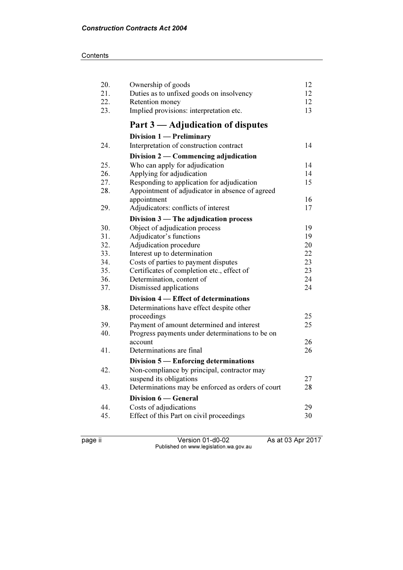#### **Contents**

| 20. | Ownership of goods                                | 12 |
|-----|---------------------------------------------------|----|
| 21. | Duties as to unfixed goods on insolvency          | 12 |
| 22. | Retention money                                   | 12 |
| 23. | Implied provisions: interpretation etc.           | 13 |
|     | Part 3 — Adjudication of disputes                 |    |
|     | Division 1 - Preliminary                          |    |
| 24. | Interpretation of construction contract           | 14 |
|     | Division $2$ — Commencing adjudication            |    |
| 25. | Who can apply for adjudication                    | 14 |
| 26. | Applying for adjudication                         | 14 |
| 27. | Responding to application for adjudication        | 15 |
| 28. | Appointment of adjudicator in absence of agreed   |    |
|     | appointment                                       | 16 |
| 29. | Adjudicators: conflicts of interest               | 17 |
|     | Division 3 - The adjudication process             |    |
| 30. | Object of adjudication process                    | 19 |
| 31. | Adjudicator's functions                           | 19 |
| 32. | Adjudication procedure                            | 20 |
| 33. | Interest up to determination                      | 22 |
| 34. | Costs of parties to payment disputes              | 23 |
| 35. | Certificates of completion etc., effect of        | 23 |
| 36. | Determination, content of                         | 24 |
| 37. | Dismissed applications                            | 24 |
|     | Division 4 – Effect of determinations             |    |
| 38. | Determinations have effect despite other          |    |
|     | proceedings                                       | 25 |
| 39. | Payment of amount determined and interest         | 25 |
| 40. | Progress payments under determinations to be on   |    |
|     | account                                           | 26 |
| 41. | Determinations are final                          | 26 |
|     | Division $5$ — Enforcing determinations           |    |
| 42. | Non-compliance by principal, contractor may       |    |
|     | suspend its obligations                           | 27 |
| 43. | Determinations may be enforced as orders of court | 28 |
|     | Division 6 — General                              |    |
| 44. | Costs of adjudications                            | 29 |
| 45. | Effect of this Part on civil proceedings          | 30 |
|     |                                                   |    |

page ii Version 01-d0-02 As at 03 Apr 2017 Published on www.legislation.wa.gov.au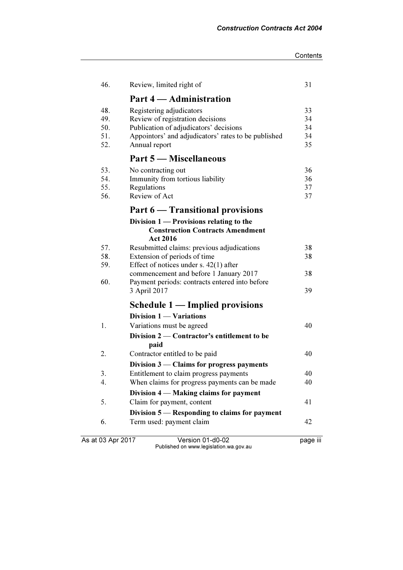| 46.                      | Review, limited right of                                                                                                             | 31                   |
|--------------------------|--------------------------------------------------------------------------------------------------------------------------------------|----------------------|
|                          | Part 4 – Administration                                                                                                              |                      |
| 48.<br>49.<br>50.        | Registering adjudicators<br>Review of registration decisions<br>Publication of adjudicators' decisions                               | 33<br>34<br>34       |
| 51.<br>52.               | Appointors' and adjudicators' rates to be published<br>Annual report                                                                 | 34<br>35             |
|                          | Part 5 — Miscellaneous                                                                                                               |                      |
| 53.<br>54.<br>55.<br>56. | No contracting out<br>Immunity from tortious liability<br>Regulations<br>Review of Act                                               | 36<br>36<br>37<br>37 |
|                          | Part 6 — Transitional provisions                                                                                                     |                      |
|                          | Division $1$ – Provisions relating to the<br><b>Construction Contracts Amendment</b><br><b>Act 2016</b>                              |                      |
| 57.                      | Resubmitted claims: previous adjudications                                                                                           | 38                   |
| 58.                      | Extension of periods of time                                                                                                         | 38                   |
| 59.<br>60.               | Effect of notices under s. $42(1)$ after<br>commencement and before 1 January 2017<br>Payment periods: contracts entered into before | 38                   |
|                          | 3 April 2017                                                                                                                         | 39                   |
|                          | Schedule 1 - Implied provisions                                                                                                      |                      |
|                          | Division 1 - Variations                                                                                                              |                      |
| 1.                       | Variations must be agreed<br>Division $2$ – Contractor's entitlement to be<br>paid                                                   | 40                   |
| 2.                       | Contractor entitled to be paid                                                                                                       | 40                   |
|                          | Division $3$ — Claims for progress payments                                                                                          |                      |
| 3.                       | Entitlement to claim progress payments                                                                                               | 40                   |
| 4.                       | When claims for progress payments can be made<br>Division $4$ — Making claims for payment                                            | 40                   |
| 5.                       | Claim for payment, content                                                                                                           | 41                   |
|                          | Division 5 — Responding to claims for payment                                                                                        |                      |
| 6.                       | Term used: payment claim                                                                                                             | 42                   |

As at 03 Apr 2017 Version 01-d0-02 page iii Published on www.legislation.wa.gov.au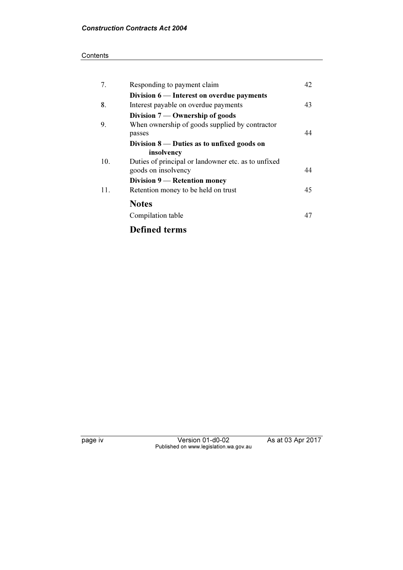#### **Contents**

| 7.  | Responding to payment claim                                                       | 42 |
|-----|-----------------------------------------------------------------------------------|----|
| 8.  | Division 6 — Interest on overdue payments<br>Interest payable on overdue payments | 43 |
|     | Division $7$ — Ownership of goods                                                 |    |
| 9.  | When ownership of goods supplied by contractor<br>passes                          | 44 |
|     | Division $8$ — Duties as to unfixed goods on<br>insolvency                        |    |
| 10. | Duties of principal or landowner etc. as to unfixed<br>goods on insolvency        | 44 |
|     | Division 9 — Retention money                                                      |    |
| 11. | Retention money to be held on trust                                               | 45 |
|     | <b>Notes</b>                                                                      |    |
|     | Compilation table                                                                 | 47 |
|     |                                                                                   |    |

Defined terms

page iv Version 01-d0-02 As at 03 Apr 2017 Published on www.legislation.wa.gov.au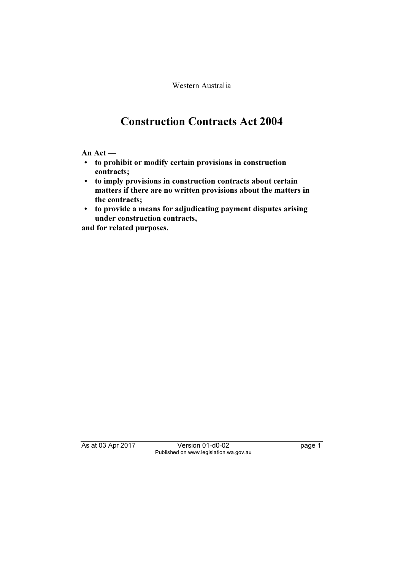Western Australia

# Construction Contracts Act 2004

An Act —

- to prohibit or modify certain provisions in construction contracts;
- to imply provisions in construction contracts about certain matters if there are no written provisions about the matters in the contracts;
- to provide a means for adjudicating payment disputes arising under construction contracts,

and for related purposes.

As at 03 Apr 2017 Version 01-d0-02 page 1 Published on www.legislation.wa.gov.au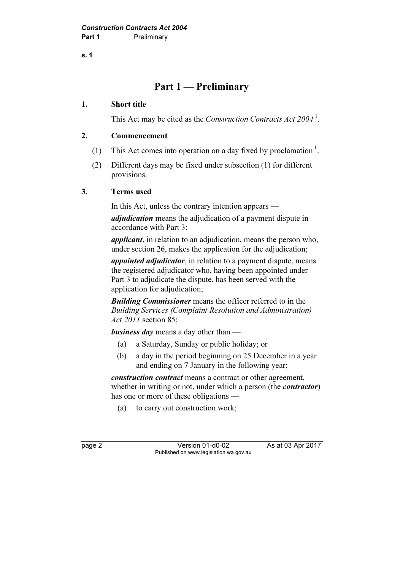s. 1

## Part 1 — Preliminary

#### 1. Short title

This Act may be cited as the *Construction Contracts Act*  $2004<sup>1</sup>$ .

#### 2. Commencement

- (1) This Act comes into operation on a day fixed by proclamation  $\cdot$ .
- (2) Different days may be fixed under subsection (1) for different provisions.

#### 3. Terms used

In this Act, unless the contrary intention appears —

adjudication means the adjudication of a payment dispute in accordance with Part 3;

applicant, in relation to an adjudication, means the person who, under section 26, makes the application for the adjudication;

appointed adjudicator, in relation to a payment dispute, means the registered adjudicator who, having been appointed under Part 3 to adjudicate the dispute, has been served with the application for adjudication;

**Building Commissioner** means the officer referred to in the Building Services (Complaint Resolution and Administration) Act 2011 section 85;

**business day** means a day other than —

- (a) a Saturday, Sunday or public holiday; or
- (b) a day in the period beginning on 25 December in a year and ending on 7 January in the following year;

construction contract means a contract or other agreement, whether in writing or not, under which a person (the *contractor*) has one or more of these obligations —

(a) to carry out construction work;

page 2 Version 01-d0-02 As at 03 Apr 2017 Published on www.legislation.wa.gov.au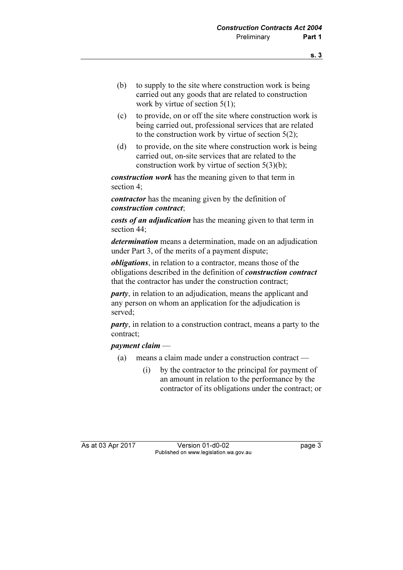- (b) to supply to the site where construction work is being carried out any goods that are related to construction work by virtue of section  $5(1)$ ;
- (c) to provide, on or off the site where construction work is being carried out, professional services that are related to the construction work by virtue of section  $5(2)$ ;
- (d) to provide, on the site where construction work is being carried out, on-site services that are related to the construction work by virtue of section 5(3)(b);

construction work has the meaning given to that term in section 4;

contractor has the meaning given by the definition of construction contract;

costs of an adjudication has the meaning given to that term in section 44;

determination means a determination, made on an adjudication under Part 3, of the merits of a payment dispute;

obligations, in relation to a contractor, means those of the obligations described in the definition of construction contract that the contractor has under the construction contract:

party, in relation to an adjudication, means the applicant and any person on whom an application for the adjudication is served;

party, in relation to a construction contract, means a party to the contract;

#### payment claim —

- (a) means a claim made under a construction contract
	- (i) by the contractor to the principal for payment of an amount in relation to the performance by the contractor of its obligations under the contract; or

As at 03 Apr 2017 Version 01-d0-02 Page 3 Published on www.legislation.wa.gov.au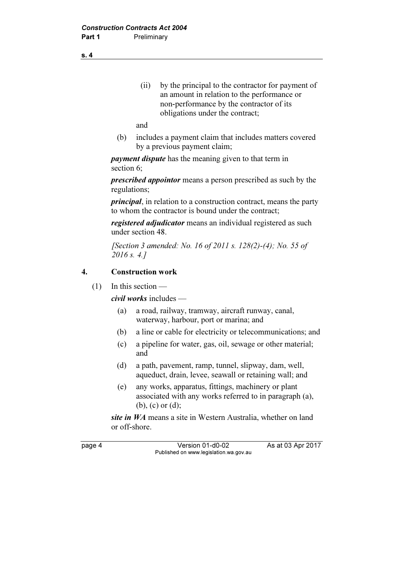(ii) by the principal to the contractor for payment of an amount in relation to the performance or non-performance by the contractor of its obligations under the contract;

and

 (b) includes a payment claim that includes matters covered by a previous payment claim;

*payment dispute* has the meaning given to that term in section 6;

prescribed appointor means a person prescribed as such by the regulations;

principal, in relation to a construction contract, means the party to whom the contractor is bound under the contract;

registered *adjudicator* means an individual registered as such under section 48.

 [Section 3 amended: No. 16 of 2011 s. 128(2)-(4); No. 55 of 2016 s. 4.7

#### 4. Construction work

 $(1)$  In this section —

civil works includes —

- (a) a road, railway, tramway, aircraft runway, canal, waterway, harbour, port or marina; and
- (b) a line or cable for electricity or telecommunications; and
- (c) a pipeline for water, gas, oil, sewage or other material; and
- (d) a path, pavement, ramp, tunnel, slipway, dam, well, aqueduct, drain, levee, seawall or retaining wall; and
- (e) any works, apparatus, fittings, machinery or plant associated with any works referred to in paragraph (a), (b), (c) or (d);

site in WA means a site in Western Australia, whether on land or off-shore.

page 4 Version 01-d0-02 As at 03 Apr 2017 Published on www.legislation.wa.gov.au

s. 4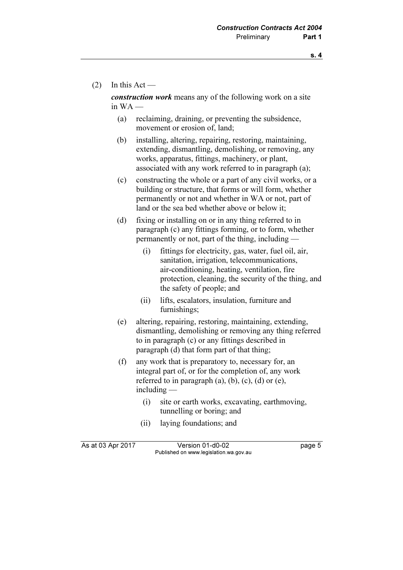$(2)$  In this Act —

construction work means any of the following work on a site in  $WA$  —

- (a) reclaiming, draining, or preventing the subsidence, movement or erosion of, land;
- (b) installing, altering, repairing, restoring, maintaining, extending, dismantling, demolishing, or removing, any works, apparatus, fittings, machinery, or plant, associated with any work referred to in paragraph (a);
- (c) constructing the whole or a part of any civil works, or a building or structure, that forms or will form, whether permanently or not and whether in WA or not, part of land or the sea bed whether above or below it;
- (d) fixing or installing on or in any thing referred to in paragraph (c) any fittings forming, or to form, whether permanently or not, part of the thing, including —
	- (i) fittings for electricity, gas, water, fuel oil, air, sanitation, irrigation, telecommunications, air-conditioning, heating, ventilation, fire protection, cleaning, the security of the thing, and the safety of people; and
	- (ii) lifts, escalators, insulation, furniture and furnishings;
- (e) altering, repairing, restoring, maintaining, extending, dismantling, demolishing or removing any thing referred to in paragraph (c) or any fittings described in paragraph (d) that form part of that thing;
- (f) any work that is preparatory to, necessary for, an integral part of, or for the completion of, any work referred to in paragraph  $(a)$ ,  $(b)$ ,  $(c)$ ,  $(d)$  or  $(e)$ , including —
	- (i) site or earth works, excavating, earthmoving, tunnelling or boring; and
	- (ii) laying foundations; and

As at 03 Apr 2017 Version 01-d0-02 page 5 Published on www.legislation.wa.gov.au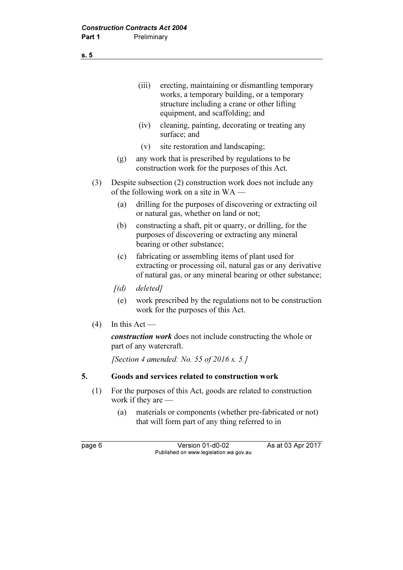(iii) erecting, maintaining or dismantling temporary works, a temporary building, or a temporary structure including a crane or other lifting equipment, and scaffolding; and

- (iv) cleaning, painting, decorating or treating any surface; and
- (v) site restoration and landscaping;
- (g) any work that is prescribed by regulations to be construction work for the purposes of this Act.
- (3) Despite subsection (2) construction work does not include any of the following work on a site in WA —
	- (a) drilling for the purposes of discovering or extracting oil or natural gas, whether on land or not;
	- (b) constructing a shaft, pit or quarry, or drilling, for the purposes of discovering or extracting any mineral bearing or other substance;
	- (c) fabricating or assembling items of plant used for extracting or processing oil, natural gas or any derivative of natural gas, or any mineral bearing or other substance;
	- $[(d)$  deleted]
		- (e) work prescribed by the regulations not to be construction work for the purposes of this Act.
- $(4)$  In this Act —

construction work does not include constructing the whole or part of any watercraft.

[Section 4 amended: No. 55 of 2016 s. 5.]

#### 5. Goods and services related to construction work

- (1) For the purposes of this Act, goods are related to construction work if they are —
	- (a) materials or components (whether pre-fabricated or not) that will form part of any thing referred to in

s. 5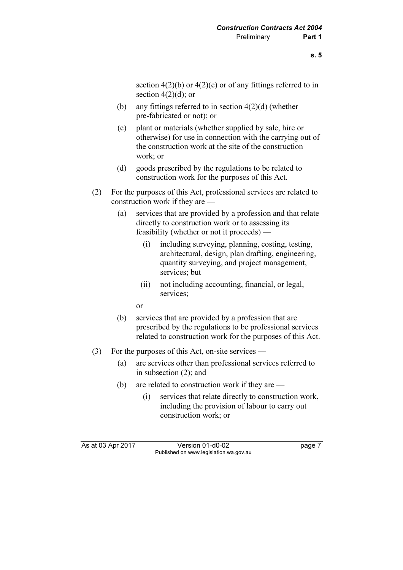section  $4(2)(b)$  or  $4(2)(c)$  or of any fittings referred to in section  $4(2)(d)$ ; or

- (b) any fittings referred to in section  $4(2)(d)$  (whether pre-fabricated or not); or
- (c) plant or materials (whether supplied by sale, hire or otherwise) for use in connection with the carrying out of the construction work at the site of the construction work; or
- (d) goods prescribed by the regulations to be related to construction work for the purposes of this Act.
- (2) For the purposes of this Act, professional services are related to construction work if they are —
	- (a) services that are provided by a profession and that relate directly to construction work or to assessing its feasibility (whether or not it proceeds) —
		- (i) including surveying, planning, costing, testing, architectural, design, plan drafting, engineering, quantity surveying, and project management, services; but
		- (ii) not including accounting, financial, or legal, services;

or

- (b) services that are provided by a profession that are prescribed by the regulations to be professional services related to construction work for the purposes of this Act.
- (3) For the purposes of this Act, on-site services
	- (a) are services other than professional services referred to in subsection (2); and
	- (b) are related to construction work if they are
		- (i) services that relate directly to construction work, including the provision of labour to carry out construction work; or

As at 03 Apr 2017 Version 01-d0-02 page 7 Published on www.legislation.wa.gov.au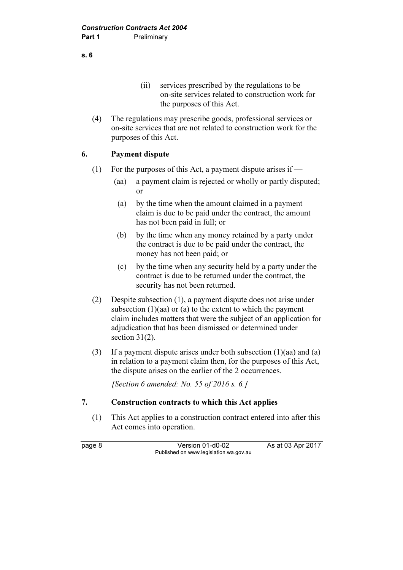(ii) services prescribed by the regulations to be on-site services related to construction work for the purposes of this Act.

 (4) The regulations may prescribe goods, professional services or on-site services that are not related to construction work for the purposes of this Act.

#### 6. Payment dispute

- (1) For the purposes of this Act, a payment dispute arises if  $-$ 
	- (aa) a payment claim is rejected or wholly or partly disputed; or
	- (a) by the time when the amount claimed in a payment claim is due to be paid under the contract, the amount has not been paid in full; or
	- (b) by the time when any money retained by a party under the contract is due to be paid under the contract, the money has not been paid; or
	- (c) by the time when any security held by a party under the contract is due to be returned under the contract, the security has not been returned.
- (2) Despite subsection (1), a payment dispute does not arise under subsection (1)(aa) or (a) to the extent to which the payment claim includes matters that were the subject of an application for adjudication that has been dismissed or determined under section  $31(2)$ .
- (3) If a payment dispute arises under both subsection (1)(aa) and (a) in relation to a payment claim then, for the purposes of this Act, the dispute arises on the earlier of the 2 occurrences.

[Section 6 amended: No. 55 of 2016 s. 6.]

#### 7. Construction contracts to which this Act applies

 (1) This Act applies to a construction contract entered into after this Act comes into operation.

page 8 Version 01-d0-02 As at 03 Apr 2017 Published on www.legislation.wa.gov.au

s. 6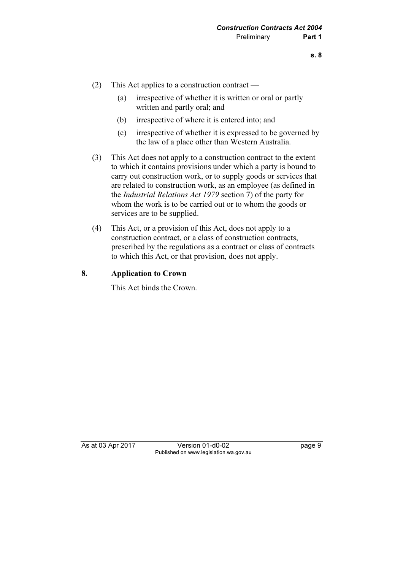- (2) This Act applies to a construction contract
	- (a) irrespective of whether it is written or oral or partly written and partly oral; and
	- (b) irrespective of where it is entered into; and
	- (c) irrespective of whether it is expressed to be governed by the law of a place other than Western Australia.
- (3) This Act does not apply to a construction contract to the extent to which it contains provisions under which a party is bound to carry out construction work, or to supply goods or services that are related to construction work, as an employee (as defined in the Industrial Relations Act 1979 section 7) of the party for whom the work is to be carried out or to whom the goods or services are to be supplied.
- (4) This Act, or a provision of this Act, does not apply to a construction contract, or a class of construction contracts, prescribed by the regulations as a contract or class of contracts to which this Act, or that provision, does not apply.

#### 8. Application to Crown

This Act binds the Crown.

As at 03 Apr 2017 Version 01-d0-02 page 9 Published on www.legislation.wa.gov.au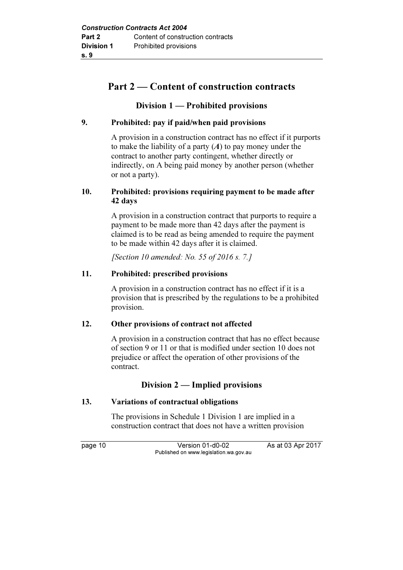## Part 2 — Content of construction contracts

## Division 1 — Prohibited provisions

### 9. Prohibited: pay if paid/when paid provisions

 A provision in a construction contract has no effect if it purports to make the liability of a party  $(A)$  to pay money under the contract to another party contingent, whether directly or indirectly, on A being paid money by another person (whether or not a party).

#### 10. Prohibited: provisions requiring payment to be made after 42 days

 A provision in a construction contract that purports to require a payment to be made more than 42 days after the payment is claimed is to be read as being amended to require the payment to be made within 42 days after it is claimed.

[Section 10 amended: No. 55 of 2016 s.  $7.1$ ]

### 11. Prohibited: prescribed provisions

 A provision in a construction contract has no effect if it is a provision that is prescribed by the regulations to be a prohibited provision.

#### 12. Other provisions of contract not affected

 A provision in a construction contract that has no effect because of section 9 or 11 or that is modified under section 10 does not prejudice or affect the operation of other provisions of the contract.

## Division 2 — Implied provisions

#### 13. Variations of contractual obligations

 The provisions in Schedule 1 Division 1 are implied in a construction contract that does not have a written provision

page 10 Version 01-d0-02 As at 03 Apr 2017 Published on www.legislation.wa.gov.au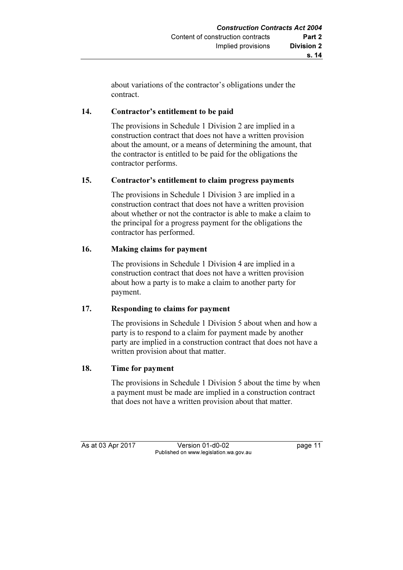about variations of the contractor's obligations under the contract.

### 14. Contractor's entitlement to be paid

 The provisions in Schedule 1 Division 2 are implied in a construction contract that does not have a written provision about the amount, or a means of determining the amount, that the contractor is entitled to be paid for the obligations the contractor performs.

#### 15. Contractor's entitlement to claim progress payments

 The provisions in Schedule 1 Division 3 are implied in a construction contract that does not have a written provision about whether or not the contractor is able to make a claim to the principal for a progress payment for the obligations the contractor has performed.

### 16. Making claims for payment

 The provisions in Schedule 1 Division 4 are implied in a construction contract that does not have a written provision about how a party is to make a claim to another party for payment.

## 17. Responding to claims for payment

 The provisions in Schedule 1 Division 5 about when and how a party is to respond to a claim for payment made by another party are implied in a construction contract that does not have a written provision about that matter.

#### 18. Time for payment

 The provisions in Schedule 1 Division 5 about the time by when a payment must be made are implied in a construction contract that does not have a written provision about that matter.

As at 03 Apr 2017 Version 01-d0-02 page 11 Published on www.legislation.wa.gov.au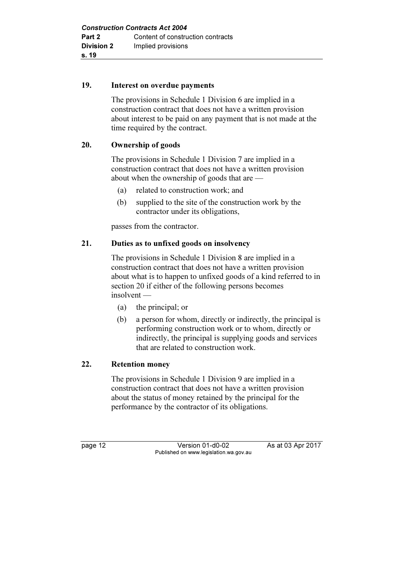#### 19. Interest on overdue payments

 The provisions in Schedule 1 Division 6 are implied in a construction contract that does not have a written provision about interest to be paid on any payment that is not made at the time required by the contract.

#### 20. Ownership of goods

 The provisions in Schedule 1 Division 7 are implied in a construction contract that does not have a written provision about when the ownership of goods that are —

- (a) related to construction work; and
- (b) supplied to the site of the construction work by the contractor under its obligations,

passes from the contractor.

#### 21. Duties as to unfixed goods on insolvency

 The provisions in Schedule 1 Division 8 are implied in a construction contract that does not have a written provision about what is to happen to unfixed goods of a kind referred to in section 20 if either of the following persons becomes insolvent —

- (a) the principal; or
- (b) a person for whom, directly or indirectly, the principal is performing construction work or to whom, directly or indirectly, the principal is supplying goods and services that are related to construction work.

#### 22. Retention money

 The provisions in Schedule 1 Division 9 are implied in a construction contract that does not have a written provision about the status of money retained by the principal for the performance by the contractor of its obligations.

page 12 Version 01-d0-02 As at 03 Apr 2017 Published on www.legislation.wa.gov.au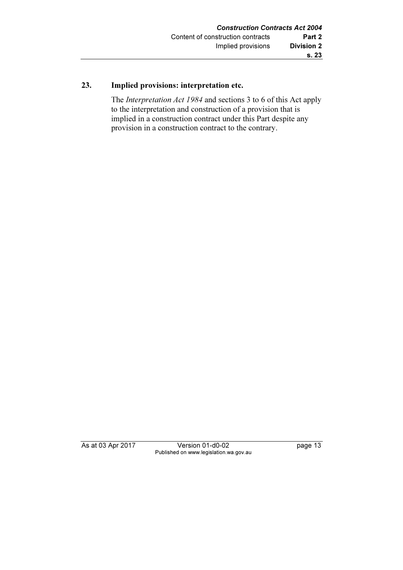## 23. Implied provisions: interpretation etc.

 The Interpretation Act 1984 and sections 3 to 6 of this Act apply to the interpretation and construction of a provision that is implied in a construction contract under this Part despite any provision in a construction contract to the contrary.

As at 03 Apr 2017 Version 01-d0-02 page 13 Published on www.legislation.wa.gov.au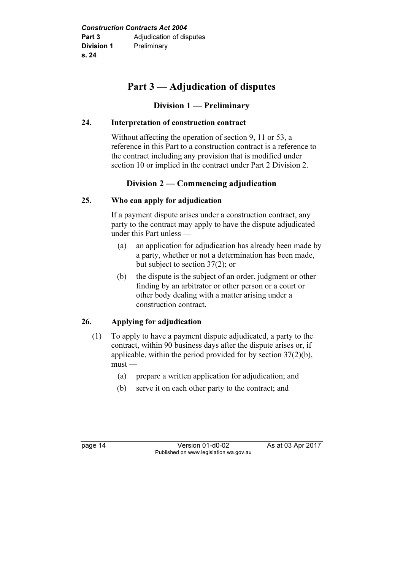## Part 3 — Adjudication of disputes

## Division 1 — Preliminary

### 24. Interpretation of construction contract

 Without affecting the operation of section 9, 11 or 53, a reference in this Part to a construction contract is a reference to the contract including any provision that is modified under section 10 or implied in the contract under Part 2 Division 2.

## Division 2 — Commencing adjudication

## 25. Who can apply for adjudication

 If a payment dispute arises under a construction contract, any party to the contract may apply to have the dispute adjudicated under this Part unless —

- (a) an application for adjudication has already been made by a party, whether or not a determination has been made, but subject to section 37(2); or
- (b) the dispute is the subject of an order, judgment or other finding by an arbitrator or other person or a court or other body dealing with a matter arising under a construction contract.

## 26. Applying for adjudication

- (1) To apply to have a payment dispute adjudicated, a party to the contract, within 90 business days after the dispute arises or, if applicable, within the period provided for by section 37(2)(b), must —
	- (a) prepare a written application for adjudication; and
	- (b) serve it on each other party to the contract; and

page 14 Version 01-d0-02 As at 03 Apr 2017 Published on www.legislation.wa.gov.au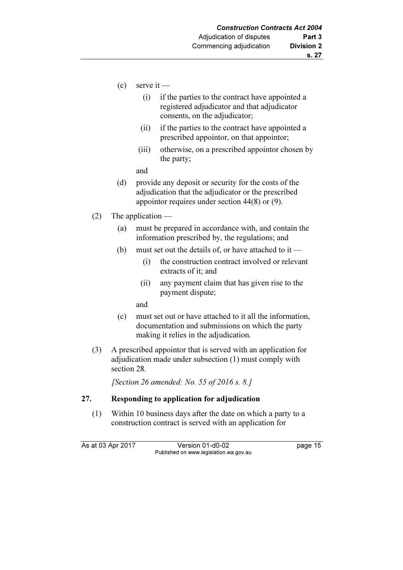- $(c)$  serve it
	- (i) if the parties to the contract have appointed a registered adjudicator and that adjudicator consents, on the adjudicator;
	- (ii) if the parties to the contract have appointed a prescribed appointor, on that appointor;
	- (iii) otherwise, on a prescribed appointor chosen by the party;

and

- (d) provide any deposit or security for the costs of the adjudication that the adjudicator or the prescribed appointor requires under section 44(8) or (9).
- (2) The application
	- (a) must be prepared in accordance with, and contain the information prescribed by, the regulations; and
	- (b) must set out the details of, or have attached to it
		- (i) the construction contract involved or relevant extracts of it; and
		- (ii) any payment claim that has given rise to the payment dispute;

and

- (c) must set out or have attached to it all the information, documentation and submissions on which the party making it relies in the adjudication.
- (3) A prescribed appointor that is served with an application for adjudication made under subsection (1) must comply with section 28.

[Section 26 amended: No. 55 of 2016 s. 8.]

#### 27. Responding to application for adjudication

 (1) Within 10 business days after the date on which a party to a construction contract is served with an application for

As at 03 Apr 2017 Version 01-d0-02 page 15 Published on www.legislation.wa.gov.au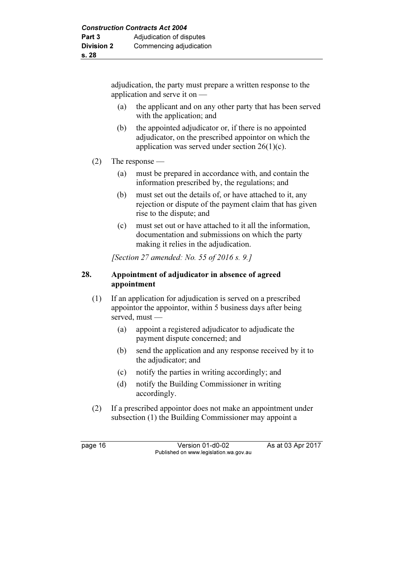adjudication, the party must prepare a written response to the application and serve it on —

- (a) the applicant and on any other party that has been served with the application; and
- (b) the appointed adjudicator or, if there is no appointed adjudicator, on the prescribed appointor on which the application was served under section 26(1)(c).
- (2) The response
	- (a) must be prepared in accordance with, and contain the information prescribed by, the regulations; and
	- (b) must set out the details of, or have attached to it, any rejection or dispute of the payment claim that has given rise to the dispute; and
	- (c) must set out or have attached to it all the information, documentation and submissions on which the party making it relies in the adjudication.

[Section 27 amended: No. 55 of 2016 s. 9.]

### 28. Appointment of adjudicator in absence of agreed appointment

- (1) If an application for adjudication is served on a prescribed appointor the appointor, within 5 business days after being served, must —
	- (a) appoint a registered adjudicator to adjudicate the payment dispute concerned; and
	- (b) send the application and any response received by it to the adjudicator; and
	- (c) notify the parties in writing accordingly; and
	- (d) notify the Building Commissioner in writing accordingly.
- (2) If a prescribed appointor does not make an appointment under subsection (1) the Building Commissioner may appoint a

page 16 Version 01-d0-02 As at 03 Apr 2017 Published on www.legislation.wa.gov.au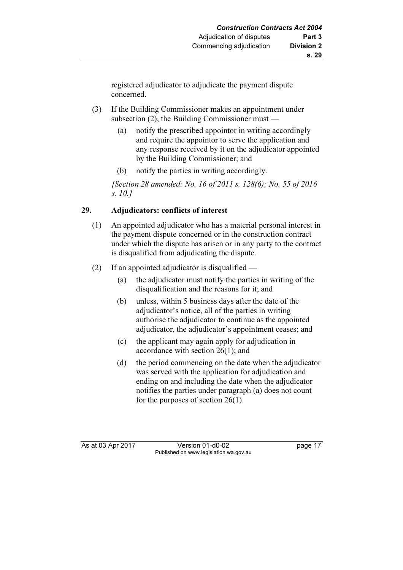registered adjudicator to adjudicate the payment dispute concerned.

- (3) If the Building Commissioner makes an appointment under subsection (2), the Building Commissioner must —
	- (a) notify the prescribed appointor in writing accordingly and require the appointor to serve the application and any response received by it on the adjudicator appointed by the Building Commissioner; and
	- (b) notify the parties in writing accordingly.

 [Section 28 amended: No. 16 of 2011 s. 128(6); No. 55 of 2016 s. 10.]

## 29. Adjudicators: conflicts of interest

- (1) An appointed adjudicator who has a material personal interest in the payment dispute concerned or in the construction contract under which the dispute has arisen or in any party to the contract is disqualified from adjudicating the dispute.
- (2) If an appointed adjudicator is disqualified
	- (a) the adjudicator must notify the parties in writing of the disqualification and the reasons for it; and
	- (b) unless, within 5 business days after the date of the adjudicator's notice, all of the parties in writing authorise the adjudicator to continue as the appointed adjudicator, the adjudicator's appointment ceases; and
	- (c) the applicant may again apply for adjudication in accordance with section 26(1); and
	- (d) the period commencing on the date when the adjudicator was served with the application for adjudication and ending on and including the date when the adjudicator notifies the parties under paragraph (a) does not count for the purposes of section 26(1).

As at 03 Apr 2017 Version 01-d0-02 Page 17 Published on www.legislation.wa.gov.au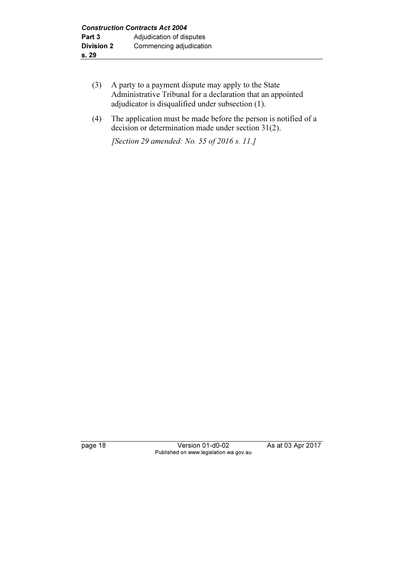- (3) A party to a payment dispute may apply to the State Administrative Tribunal for a declaration that an appointed adjudicator is disqualified under subsection (1).
- (4) The application must be made before the person is notified of a decision or determination made under section 31(2).

[Section 29 amended: No. 55 of 2016 s. 11.]

page 18 Version 01-d0-02 As at 03 Apr 2017 Published on www.legislation.wa.gov.au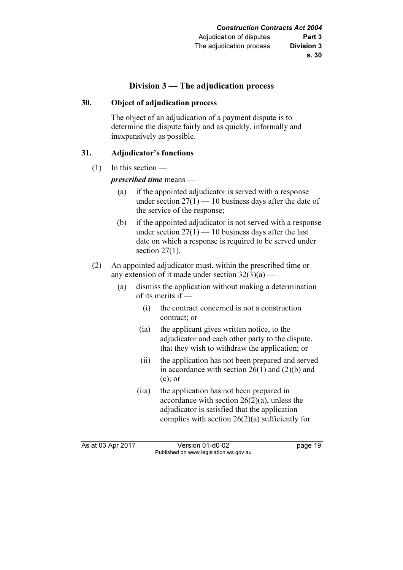### Division 3 — The adjudication process

#### 30. Object of adjudication process

 The object of an adjudication of a payment dispute is to determine the dispute fairly and as quickly, informally and inexpensively as possible.

#### 31. Adjudicator's functions

 $(1)$  In this section —

prescribed time means —

- (a) if the appointed adjudicator is served with a response under section  $27(1) - 10$  business days after the date of the service of the response;
- (b) if the appointed adjudicator is not served with a response under section  $27(1) - 10$  business days after the last date on which a response is required to be served under section  $27(1)$ .
- (2) An appointed adjudicator must, within the prescribed time or any extension of it made under section  $32(3)(a)$  —
	- (a) dismiss the application without making a determination of its merits if —
		- (i) the contract concerned is not a construction contract; or
		- (ia) the applicant gives written notice, to the adjudicator and each other party to the dispute, that they wish to withdraw the application; or
		- (ii) the application has not been prepared and served in accordance with section  $26(1)$  and  $(2)(b)$  and (c); or
		- (iia) the application has not been prepared in accordance with section 26(2)(a), unless the adjudicator is satisfied that the application complies with section 26(2)(a) sufficiently for

As at 03 Apr 2017 Version 01-d0-02 page 19 Published on www.legislation.wa.gov.au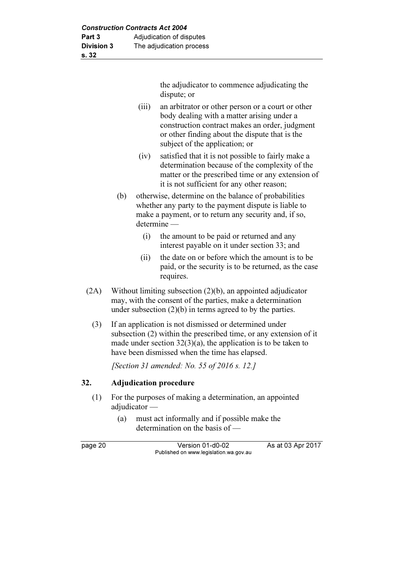the adjudicator to commence adjudicating the dispute; or

- (iii) an arbitrator or other person or a court or other body dealing with a matter arising under a construction contract makes an order, judgment or other finding about the dispute that is the subject of the application; or
- (iv) satisfied that it is not possible to fairly make a determination because of the complexity of the matter or the prescribed time or any extension of it is not sufficient for any other reason;
- (b) otherwise, determine on the balance of probabilities whether any party to the payment dispute is liable to make a payment, or to return any security and, if so, determine —
	- (i) the amount to be paid or returned and any interest payable on it under section 33; and
	- (ii) the date on or before which the amount is to be paid, or the security is to be returned, as the case requires.
- (2A) Without limiting subsection (2)(b), an appointed adjudicator may, with the consent of the parties, make a determination under subsection (2)(b) in terms agreed to by the parties.
	- (3) If an application is not dismissed or determined under subsection (2) within the prescribed time, or any extension of it made under section  $32(3)(a)$ , the application is to be taken to have been dismissed when the time has elapsed.

[Section 31 amended: No. 55 of 2016 s. 12.]

#### 32. Adjudication procedure

- (1) For the purposes of making a determination, an appointed adiudicator —
	- (a) must act informally and if possible make the determination on the basis of —

page 20 Version 01-d0-02 As at 03 Apr 2017 Published on www.legislation.wa.gov.au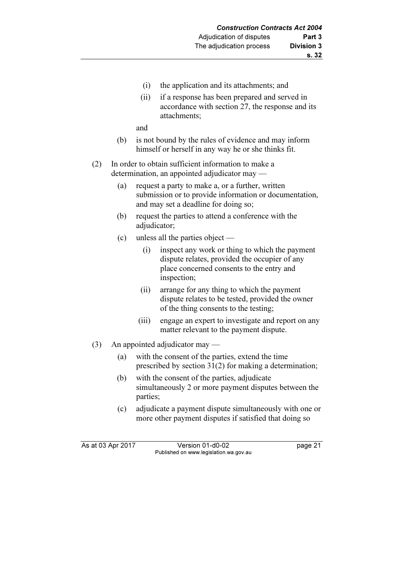- (i) the application and its attachments; and
- (ii) if a response has been prepared and served in accordance with section 27, the response and its attachments;

and

- (b) is not bound by the rules of evidence and may inform himself or herself in any way he or she thinks fit.
- (2) In order to obtain sufficient information to make a determination, an appointed adjudicator may —
	- (a) request a party to make a, or a further, written submission or to provide information or documentation, and may set a deadline for doing so;
	- (b) request the parties to attend a conference with the adjudicator;
	- (c) unless all the parties object
		- (i) inspect any work or thing to which the payment dispute relates, provided the occupier of any place concerned consents to the entry and inspection;
		- (ii) arrange for any thing to which the payment dispute relates to be tested, provided the owner of the thing consents to the testing;
		- (iii) engage an expert to investigate and report on any matter relevant to the payment dispute.
- (3) An appointed adjudicator may
	- (a) with the consent of the parties, extend the time prescribed by section 31(2) for making a determination;
	- (b) with the consent of the parties, adjudicate simultaneously 2 or more payment disputes between the parties;
	- (c) adjudicate a payment dispute simultaneously with one or more other payment disputes if satisfied that doing so

As at 03 Apr 2017 Version 01-d0-02 page 21 Published on www.legislation.wa.gov.au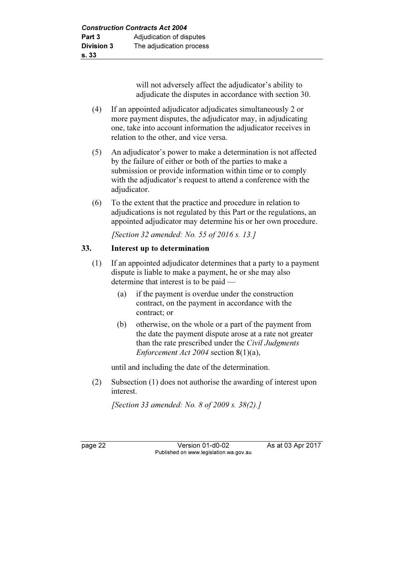will not adversely affect the adjudicator's ability to adjudicate the disputes in accordance with section 30.

- (4) If an appointed adjudicator adjudicates simultaneously 2 or more payment disputes, the adjudicator may, in adjudicating one, take into account information the adjudicator receives in relation to the other, and vice versa.
- (5) An adjudicator's power to make a determination is not affected by the failure of either or both of the parties to make a submission or provide information within time or to comply with the adjudicator's request to attend a conference with the adjudicator.
- (6) To the extent that the practice and procedure in relation to adjudications is not regulated by this Part or the regulations, an appointed adjudicator may determine his or her own procedure.

[Section 32 amended: No. 55 of 2016 s. 13.]

#### 33. Interest up to determination

- (1) If an appointed adjudicator determines that a party to a payment dispute is liable to make a payment, he or she may also determine that interest is to be paid —
	- (a) if the payment is overdue under the construction contract, on the payment in accordance with the contract; or
	- (b) otherwise, on the whole or a part of the payment from the date the payment dispute arose at a rate not greater than the rate prescribed under the Civil Judgments Enforcement Act 2004 section 8(1)(a),

until and including the date of the determination.

 (2) Subsection (1) does not authorise the awarding of interest upon interest.

[Section 33 amended: No. 8 of 2009 s. 38(2).]

page 22 Version 01-d0-02 As at 03 Apr 2017 Published on www.legislation.wa.gov.au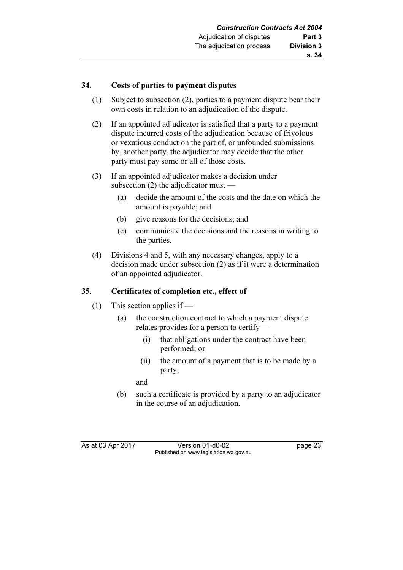#### 34. Costs of parties to payment disputes

- (1) Subject to subsection (2), parties to a payment dispute bear their own costs in relation to an adjudication of the dispute.
- (2) If an appointed adjudicator is satisfied that a party to a payment dispute incurred costs of the adjudication because of frivolous or vexatious conduct on the part of, or unfounded submissions by, another party, the adjudicator may decide that the other party must pay some or all of those costs.
- (3) If an appointed adjudicator makes a decision under subsection  $(2)$  the adjudicator must —
	- (a) decide the amount of the costs and the date on which the amount is payable; and
	- (b) give reasons for the decisions; and
	- (c) communicate the decisions and the reasons in writing to the parties.
- (4) Divisions 4 and 5, with any necessary changes, apply to a decision made under subsection (2) as if it were a determination of an appointed adjudicator.

#### 35. Certificates of completion etc., effect of

- (1) This section applies if
	- (a) the construction contract to which a payment dispute relates provides for a person to certify —
		- (i) that obligations under the contract have been performed; or
		- (ii) the amount of a payment that is to be made by a party;

and

 (b) such a certificate is provided by a party to an adjudicator in the course of an adjudication.

As at 03 Apr 2017 Version 01-d0-02 page 23 Published on www.legislation.wa.gov.au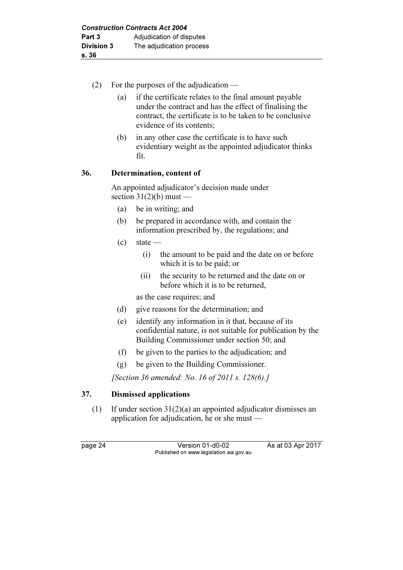- (2) For the purposes of the adjudication
	- (a) if the certificate relates to the final amount payable under the contract and has the effect of finalising the contract, the certificate is to be taken to be conclusive evidence of its contents;
	- (b) in any other case the certificate is to have such evidentiary weight as the appointed adjudicator thinks fit.

### 36. Determination, content of

 An appointed adjudicator's decision made under section  $31(2)(b)$  must —

- (a) be in writing; and
- (b) be prepared in accordance with, and contain the information prescribed by, the regulations; and
- $\left( c \right)$  state
	- (i) the amount to be paid and the date on or before which it is to be paid; or
	- (ii) the security to be returned and the date on or before which it is to be returned,

as the case requires; and

- (d) give reasons for the determination; and
- (e) identify any information in it that, because of its confidential nature, is not suitable for publication by the Building Commissioner under section 50; and
- (f) be given to the parties to the adjudication; and
- (g) be given to the Building Commissioner.

[Section 36 amended: No. 16 of 2011 s. 128(6).]

#### 37. Dismissed applications

 (1) If under section 31(2)(a) an appointed adjudicator dismisses an application for adjudication, he or she must —

page 24 Version 01-d0-02 As at 03 Apr 2017 Published on www.legislation.wa.gov.au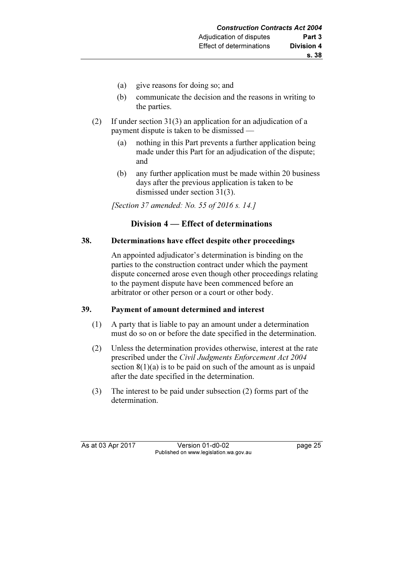- (a) give reasons for doing so; and
- (b) communicate the decision and the reasons in writing to the parties.
- (2) If under section 31(3) an application for an adjudication of a payment dispute is taken to be dismissed —
	- (a) nothing in this Part prevents a further application being made under this Part for an adjudication of the dispute; and
	- (b) any further application must be made within 20 business days after the previous application is taken to be dismissed under section 31(3).

[Section 37 amended: No. 55 of 2016 s. 14.]

## Division 4 — Effect of determinations

#### 38. Determinations have effect despite other proceedings

 An appointed adjudicator's determination is binding on the parties to the construction contract under which the payment dispute concerned arose even though other proceedings relating to the payment dispute have been commenced before an arbitrator or other person or a court or other body.

#### 39. Payment of amount determined and interest

- (1) A party that is liable to pay an amount under a determination must do so on or before the date specified in the determination.
- (2) Unless the determination provides otherwise, interest at the rate prescribed under the Civil Judgments Enforcement Act 2004 section  $8(1)(a)$  is to be paid on such of the amount as is unpaid after the date specified in the determination.
- (3) The interest to be paid under subsection (2) forms part of the determination.

As at 03 Apr 2017 Version 01-d0-02 page 25 Published on www.legislation.wa.gov.au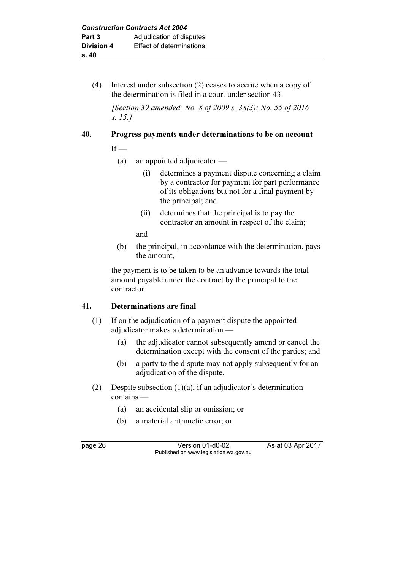(4) Interest under subsection (2) ceases to accrue when a copy of the determination is filed in a court under section 43.

 [Section 39 amended: No. 8 of 2009 s. 38(3); No. 55 of 2016 s. 15.]

## 40. Progress payments under determinations to be on account

 $If$  —

- (a) an appointed adjudicator
	- (i) determines a payment dispute concerning a claim by a contractor for payment for part performance of its obligations but not for a final payment by the principal; and
	- (ii) determines that the principal is to pay the contractor an amount in respect of the claim;

and

 (b) the principal, in accordance with the determination, pays the amount,

 the payment is to be taken to be an advance towards the total amount payable under the contract by the principal to the contractor.

## 41. Determinations are final

- (1) If on the adjudication of a payment dispute the appointed adjudicator makes a determination —
	- (a) the adjudicator cannot subsequently amend or cancel the determination except with the consent of the parties; and
	- (b) a party to the dispute may not apply subsequently for an adjudication of the dispute.
- (2) Despite subsection (1)(a), if an adjudicator's determination contains —
	- (a) an accidental slip or omission; or
	- (b) a material arithmetic error; or

page 26 Version 01-d0-02 As at 03 Apr 2017 Published on www.legislation.wa.gov.au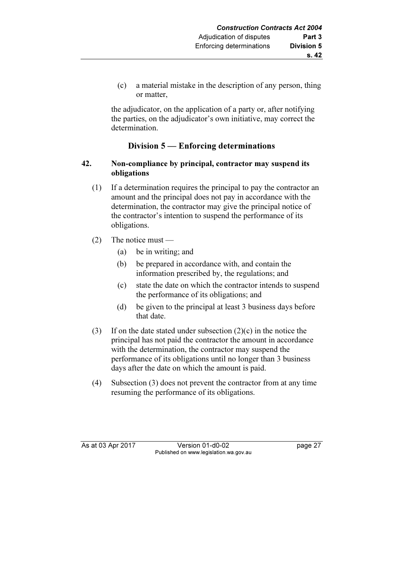(c) a material mistake in the description of any person, thing or matter,

 the adjudicator, on the application of a party or, after notifying the parties, on the adjudicator's own initiative, may correct the determination.

## Division 5 — Enforcing determinations

#### 42. Non-compliance by principal, contractor may suspend its obligations

- (1) If a determination requires the principal to pay the contractor an amount and the principal does not pay in accordance with the determination, the contractor may give the principal notice of the contractor's intention to suspend the performance of its obligations.
- (2) The notice must
	- (a) be in writing; and
	- (b) be prepared in accordance with, and contain the information prescribed by, the regulations; and
	- (c) state the date on which the contractor intends to suspend the performance of its obligations; and
	- (d) be given to the principal at least 3 business days before that date.
- (3) If on the date stated under subsection  $(2)(c)$  in the notice the principal has not paid the contractor the amount in accordance with the determination, the contractor may suspend the performance of its obligations until no longer than 3 business days after the date on which the amount is paid.
- (4) Subsection (3) does not prevent the contractor from at any time resuming the performance of its obligations.

As at 03 Apr 2017 Version 01-d0-02 Page 27 Published on www.legislation.wa.gov.au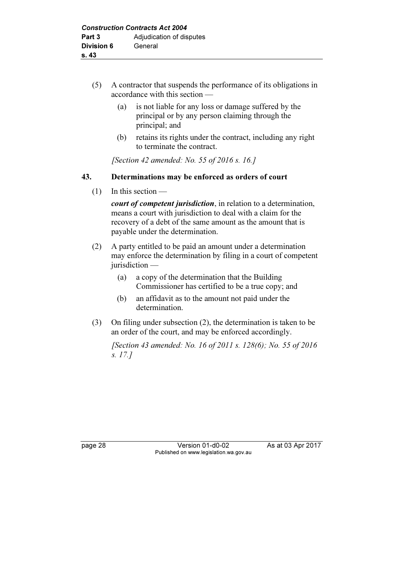- (5) A contractor that suspends the performance of its obligations in accordance with this section —
	- (a) is not liable for any loss or damage suffered by the principal or by any person claiming through the principal; and
	- (b) retains its rights under the contract, including any right to terminate the contract.

[Section 42 amended: No. 55 of  $2016 s$ , 16.]

#### 43. Determinations may be enforced as orders of court

 $(1)$  In this section —

court of competent jurisdiction, in relation to a determination, means a court with jurisdiction to deal with a claim for the recovery of a debt of the same amount as the amount that is payable under the determination.

- (2) A party entitled to be paid an amount under a determination may enforce the determination by filing in a court of competent jurisdiction —
	- (a) a copy of the determination that the Building Commissioner has certified to be a true copy; and
	- (b) an affidavit as to the amount not paid under the determination.
- (3) On filing under subsection (2), the determination is taken to be an order of the court, and may be enforced accordingly.

 [Section 43 amended: No. 16 of 2011 s. 128(6); No. 55 of 2016 s. 17.]

page 28 Version 01-d0-02 As at 03 Apr 2017 Published on www.legislation.wa.gov.au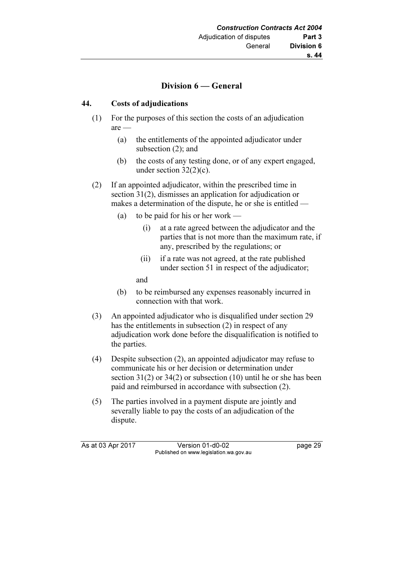## Division 6 — General

### 44. Costs of adjudications

- (1) For the purposes of this section the costs of an adjudication are —
	- (a) the entitlements of the appointed adjudicator under subsection (2); and
	- (b) the costs of any testing done, or of any expert engaged, under section  $32(2)(c)$ .
- (2) If an appointed adjudicator, within the prescribed time in section 31(2), dismisses an application for adjudication or makes a determination of the dispute, he or she is entitled —
	- (a) to be paid for his or her work
		- (i) at a rate agreed between the adjudicator and the parties that is not more than the maximum rate, if any, prescribed by the regulations; or
		- (ii) if a rate was not agreed, at the rate published under section 51 in respect of the adjudicator;

and

- (b) to be reimbursed any expenses reasonably incurred in connection with that work.
- (3) An appointed adjudicator who is disqualified under section 29 has the entitlements in subsection (2) in respect of any adjudication work done before the disqualification is notified to the parties.
- (4) Despite subsection (2), an appointed adjudicator may refuse to communicate his or her decision or determination under section 31(2) or 34(2) or subsection (10) until he or she has been paid and reimbursed in accordance with subsection (2).
- (5) The parties involved in a payment dispute are jointly and severally liable to pay the costs of an adjudication of the dispute.

As at 03 Apr 2017 Version 01-d0-02 page 29 Published on www.legislation.wa.gov.au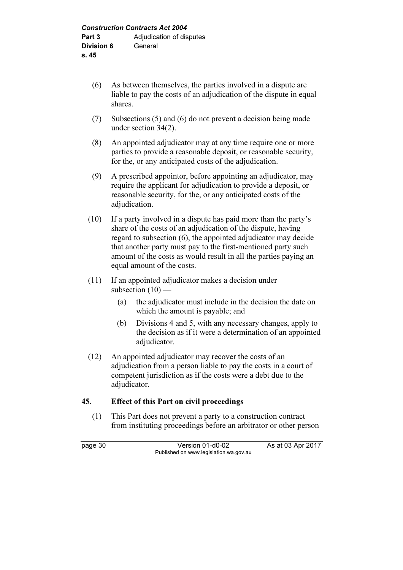- (6) As between themselves, the parties involved in a dispute are liable to pay the costs of an adjudication of the dispute in equal shares.
- (7) Subsections (5) and (6) do not prevent a decision being made under section 34(2).
- (8) An appointed adjudicator may at any time require one or more parties to provide a reasonable deposit, or reasonable security, for the, or any anticipated costs of the adjudication.
- (9) A prescribed appointor, before appointing an adjudicator, may require the applicant for adjudication to provide a deposit, or reasonable security, for the, or any anticipated costs of the adjudication.
- (10) If a party involved in a dispute has paid more than the party's share of the costs of an adjudication of the dispute, having regard to subsection (6), the appointed adjudicator may decide that another party must pay to the first-mentioned party such amount of the costs as would result in all the parties paying an equal amount of the costs.
- (11) If an appointed adjudicator makes a decision under subsection  $(10)$  —
	- (a) the adjudicator must include in the decision the date on which the amount is payable; and
	- (b) Divisions 4 and 5, with any necessary changes, apply to the decision as if it were a determination of an appointed adjudicator.
- (12) An appointed adjudicator may recover the costs of an adjudication from a person liable to pay the costs in a court of competent jurisdiction as if the costs were a debt due to the adjudicator.

## 45. Effect of this Part on civil proceedings

 (1) This Part does not prevent a party to a construction contract from instituting proceedings before an arbitrator or other person

page 30 Version 01-d0-02 As at 03 Apr 2017 Published on www.legislation.wa.gov.au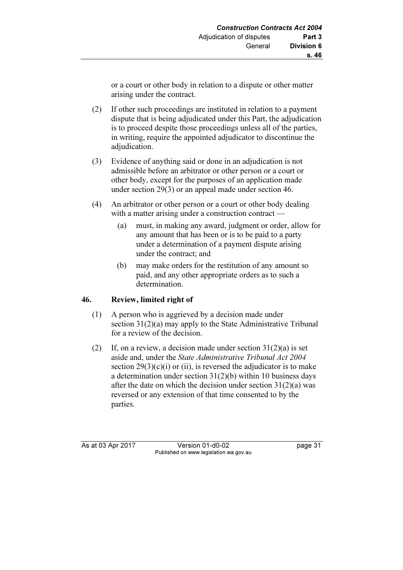or a court or other body in relation to a dispute or other matter arising under the contract.

- (2) If other such proceedings are instituted in relation to a payment dispute that is being adjudicated under this Part, the adjudication is to proceed despite those proceedings unless all of the parties, in writing, require the appointed adjudicator to discontinue the adjudication.
- (3) Evidence of anything said or done in an adjudication is not admissible before an arbitrator or other person or a court or other body, except for the purposes of an application made under section 29(3) or an appeal made under section 46.
- (4) An arbitrator or other person or a court or other body dealing with a matter arising under a construction contract —
	- (a) must, in making any award, judgment or order, allow for any amount that has been or is to be paid to a party under a determination of a payment dispute arising under the contract; and
	- (b) may make orders for the restitution of any amount so paid, and any other appropriate orders as to such a determination.

## 46. Review, limited right of

- (1) A person who is aggrieved by a decision made under section 31(2)(a) may apply to the State Administrative Tribunal for a review of the decision.
- (2) If, on a review, a decision made under section  $31(2)(a)$  is set aside and, under the State Administrative Tribunal Act 2004 section  $29(3)(c)(i)$  or (ii), is reversed the adjudicator is to make a determination under section 31(2)(b) within 10 business days after the date on which the decision under section  $31(2)(a)$  was reversed or any extension of that time consented to by the parties.

As at 03 Apr 2017 Version 01-d0-02 Page 31 Published on www.legislation.wa.gov.au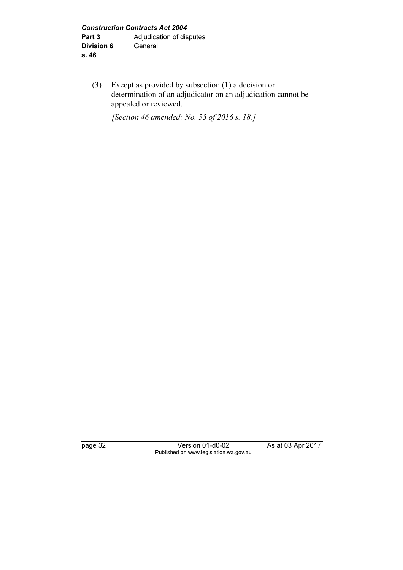(3) Except as provided by subsection (1) a decision or determination of an adjudicator on an adjudication cannot be appealed or reviewed.

[Section 46 amended: No. 55 of 2016 s. 18.]

page 32 Version 01-d0-02 As at 03 Apr 2017 Published on www.legislation.wa.gov.au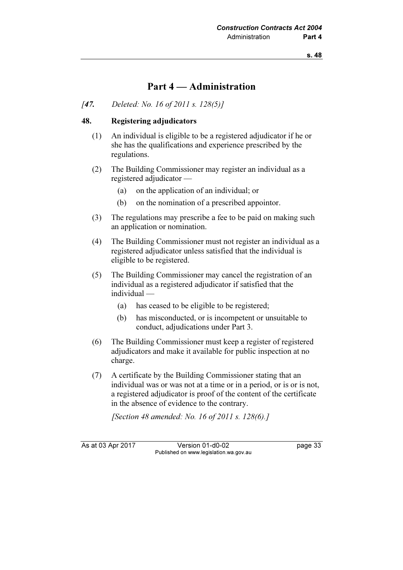## Part 4 — Administration

#### [47. Deleted: No. 16 of 2011 s. 128(5)]

#### 48. Registering adjudicators

- (1) An individual is eligible to be a registered adjudicator if he or she has the qualifications and experience prescribed by the regulations.
- (2) The Building Commissioner may register an individual as a registered adjudicator —
	- (a) on the application of an individual; or
	- (b) on the nomination of a prescribed appointor.
- (3) The regulations may prescribe a fee to be paid on making such an application or nomination.
- (4) The Building Commissioner must not register an individual as a registered adjudicator unless satisfied that the individual is eligible to be registered.
- (5) The Building Commissioner may cancel the registration of an individual as a registered adjudicator if satisfied that the individual —
	- (a) has ceased to be eligible to be registered;
	- (b) has misconducted, or is incompetent or unsuitable to conduct, adjudications under Part 3.
- (6) The Building Commissioner must keep a register of registered adjudicators and make it available for public inspection at no charge.
- (7) A certificate by the Building Commissioner stating that an individual was or was not at a time or in a period, or is or is not, a registered adjudicator is proof of the content of the certificate in the absence of evidence to the contrary.

[Section 48 amended: No. 16 of 2011 s. 128(6).]

As at 03 Apr 2017 Version 01-d0-02 page 33 Published on www.legislation.wa.gov.au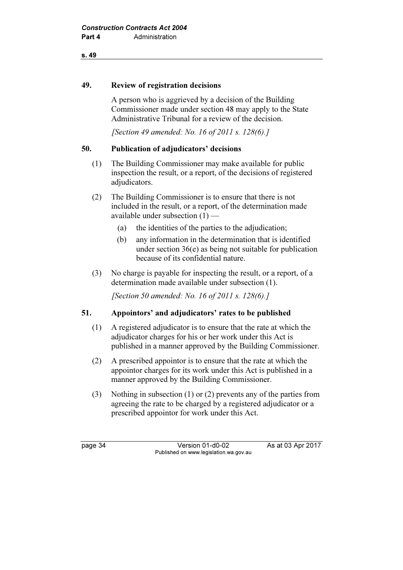#### s. 49

#### 49. Review of registration decisions

 A person who is aggrieved by a decision of the Building Commissioner made under section 48 may apply to the State Administrative Tribunal for a review of the decision.

[Section 49 amended: No. 16 of 2011 s. 128(6).]

#### 50. Publication of adjudicators' decisions

- (1) The Building Commissioner may make available for public inspection the result, or a report, of the decisions of registered adjudicators.
- (2) The Building Commissioner is to ensure that there is not included in the result, or a report, of the determination made available under subsection (1) —
	- (a) the identities of the parties to the adjudication;
	- (b) any information in the determination that is identified under section 36(e) as being not suitable for publication because of its confidential nature.
- (3) No charge is payable for inspecting the result, or a report, of a determination made available under subsection (1).

[Section 50 amended: No. 16 of 2011 s. 128(6).]

#### 51. Appointors' and adjudicators' rates to be published

- (1) A registered adjudicator is to ensure that the rate at which the adjudicator charges for his or her work under this Act is published in a manner approved by the Building Commissioner.
- (2) A prescribed appointor is to ensure that the rate at which the appointor charges for its work under this Act is published in a manner approved by the Building Commissioner.
- (3) Nothing in subsection (1) or (2) prevents any of the parties from agreeing the rate to be charged by a registered adjudicator or a prescribed appointor for work under this Act.

page 34 Version 01-d0-02 As at 03 Apr 2017 Published on www.legislation.wa.gov.au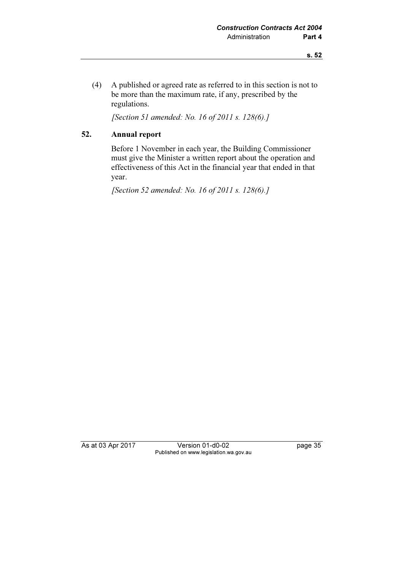(4) A published or agreed rate as referred to in this section is not to be more than the maximum rate, if any, prescribed by the regulations.

[Section 51 amended: No. 16 of 2011 s. 128(6).]

### 52. Annual report

 Before 1 November in each year, the Building Commissioner must give the Minister a written report about the operation and effectiveness of this Act in the financial year that ended in that year.

[Section 52 amended: No. 16 of 2011 s. 128(6).]

As at 03 Apr 2017 Version 01-d0-02 page 35 Published on www.legislation.wa.gov.au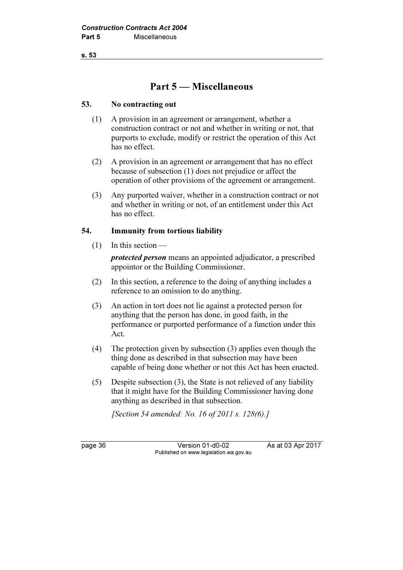s. 53

## Part 5 — Miscellaneous

#### 53. No contracting out

- (1) A provision in an agreement or arrangement, whether a construction contract or not and whether in writing or not, that purports to exclude, modify or restrict the operation of this Act has no effect.
- (2) A provision in an agreement or arrangement that has no effect because of subsection (1) does not prejudice or affect the operation of other provisions of the agreement or arrangement.
- (3) Any purported waiver, whether in a construction contract or not and whether in writing or not, of an entitlement under this Act has no effect.

#### 54. Immunity from tortious liability

 $(1)$  In this section —

protected person means an appointed adjudicator, a prescribed appointor or the Building Commissioner.

- (2) In this section, a reference to the doing of anything includes a reference to an omission to do anything.
- (3) An action in tort does not lie against a protected person for anything that the person has done, in good faith, in the performance or purported performance of a function under this Act.
- (4) The protection given by subsection (3) applies even though the thing done as described in that subsection may have been capable of being done whether or not this Act has been enacted.
- (5) Despite subsection (3), the State is not relieved of any liability that it might have for the Building Commissioner having done anything as described in that subsection.

[Section 54 amended: No. 16 of 2011 s. 128(6).]

page 36 Version 01-d0-02 As at 03 Apr 2017 Published on www.legislation.wa.gov.au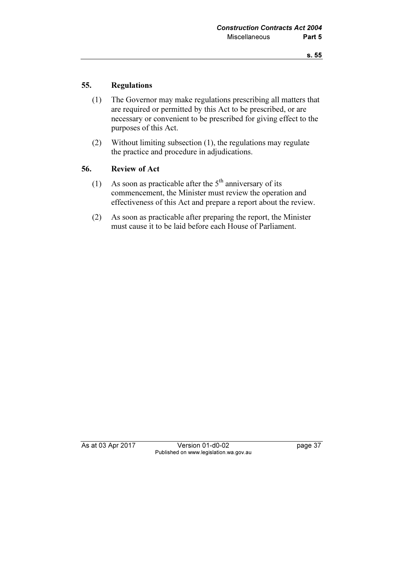#### 55. Regulations

- (1) The Governor may make regulations prescribing all matters that are required or permitted by this Act to be prescribed, or are necessary or convenient to be prescribed for giving effect to the purposes of this Act.
- (2) Without limiting subsection (1), the regulations may regulate the practice and procedure in adjudications.

#### 56. Review of Act

- (1) As soon as practicable after the  $5<sup>th</sup>$  anniversary of its commencement, the Minister must review the operation and effectiveness of this Act and prepare a report about the review.
- (2) As soon as practicable after preparing the report, the Minister must cause it to be laid before each House of Parliament.

As at 03 Apr 2017 Version 01-d0-02 page 37 Published on www.legislation.wa.gov.au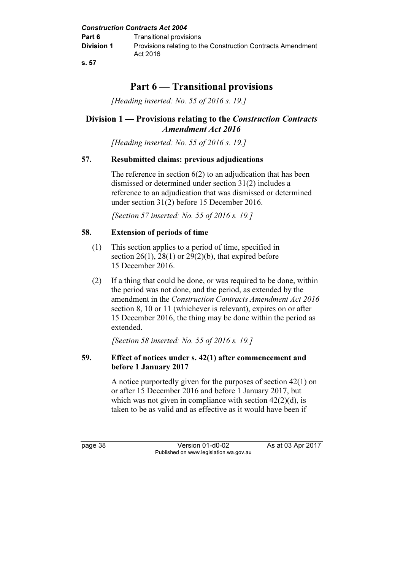## Part 6 — Transitional provisions

[Heading inserted: No. 55 of 2016 s. 19.]

### Division 1 — Provisions relating to the Construction Contracts Amendment Act 2016

[Heading inserted: No. 55 of 2016 s. 19.]

#### 57. Resubmitted claims: previous adjudications

The reference in section  $6(2)$  to an adjudication that has been dismissed or determined under section 31(2) includes a reference to an adjudication that was dismissed or determined under section 31(2) before 15 December 2016.

[Section 57 inserted: No. 55 of 2016 s. 19.]

#### 58. Extension of periods of time

- (1) This section applies to a period of time, specified in section  $26(1)$ ,  $28(1)$  or  $29(2)(b)$ , that expired before 15 December 2016.
- (2) If a thing that could be done, or was required to be done, within the period was not done, and the period, as extended by the amendment in the Construction Contracts Amendment Act 2016 section 8, 10 or 11 (whichever is relevant), expires on or after 15 December 2016, the thing may be done within the period as extended.

[Section 58 inserted: No. 55 of 2016 s. 19.]

#### 59. Effect of notices under s. 42(1) after commencement and before 1 January 2017

 A notice purportedly given for the purposes of section 42(1) on or after 15 December 2016 and before 1 January 2017, but which was not given in compliance with section  $42(2)(d)$ , is taken to be as valid and as effective as it would have been if

page 38 Version 01-d0-02 As at 03 Apr 2017 Published on www.legislation.wa.gov.au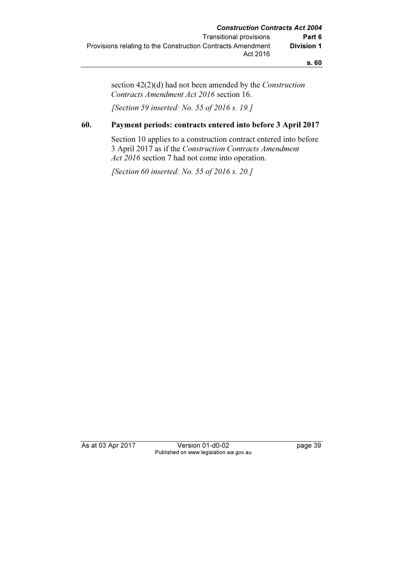s. 60

section 42(2)(d) had not been amended by the Construction Contracts Amendment Act 2016 section 16.

[Section 59 inserted: No. 55 of 2016 s. 19.]

#### 60. Payment periods: contracts entered into before 3 April 2017

 Section 10 applies to a construction contract entered into before 3 April 2017 as if the Construction Contracts Amendment Act 2016 section 7 had not come into operation.

[Section 60 inserted: No. 55 of 2016 s. 20.]

As at 03 Apr 2017 Version 01-d0-02 page 39 Published on www.legislation.wa.gov.au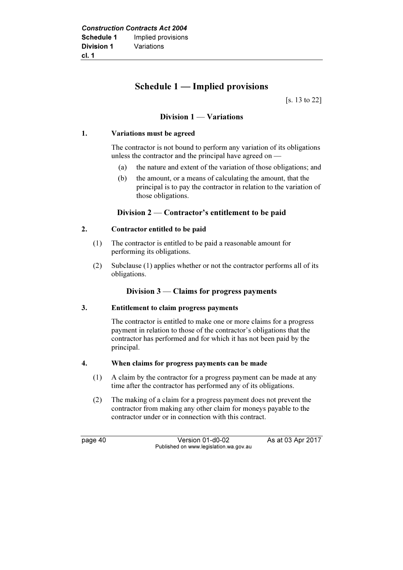## Schedule 1 — Implied provisions

[s. 13 to 22]

#### Division 1 — Variations

#### 1. Variations must be agreed

 The contractor is not bound to perform any variation of its obligations unless the contractor and the principal have agreed on —

- (a) the nature and extent of the variation of those obligations; and
- (b) the amount, or a means of calculating the amount, that the principal is to pay the contractor in relation to the variation of those obligations.

#### Division 2 — Contractor's entitlement to be paid

#### 2. Contractor entitled to be paid

- (1) The contractor is entitled to be paid a reasonable amount for performing its obligations.
- (2) Subclause (1) applies whether or not the contractor performs all of its obligations.

#### Division 3 — Claims for progress payments

#### 3. Entitlement to claim progress payments

 The contractor is entitled to make one or more claims for a progress payment in relation to those of the contractor's obligations that the contractor has performed and for which it has not been paid by the principal.

#### 4. When claims for progress payments can be made

- (1) A claim by the contractor for a progress payment can be made at any time after the contractor has performed any of its obligations.
- (2) The making of a claim for a progress payment does not prevent the contractor from making any other claim for moneys payable to the contractor under or in connection with this contract.

page 40 Version 01-d0-02 As at 03 Apr 2017 Published on www.legislation.wa.gov.au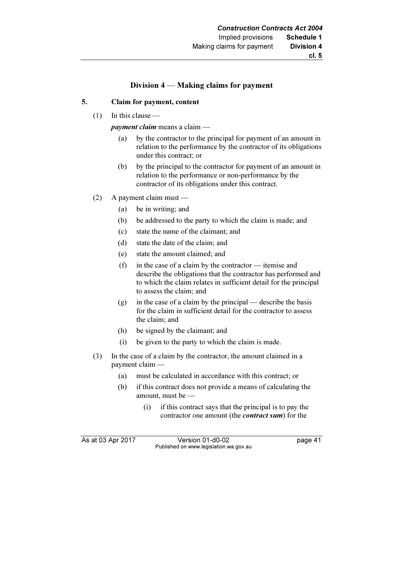#### Division 4 — Making claims for payment

#### 5. Claim for payment, content

(1) In this clause —

payment claim means a claim —<br>(a) by the contractor to the n

- by the contractor to the principal for payment of an amount in relation to the performance by the contractor of its obligations under this contract; or
- (b) by the principal to the contractor for payment of an amount in relation to the performance or non-performance by the contractor of its obligations under this contract.
- (2) A payment claim must
	- (a) be in writing; and
	- (b) be addressed to the party to which the claim is made; and
	- (c) state the name of the claimant; and
	- (d) state the date of the claim; and
	- (e) state the amount claimed; and
	- (f) in the case of a claim by the contractor itemise and describe the obligations that the contractor has performed and to which the claim relates in sufficient detail for the principal to assess the claim; and
	- (g) in the case of a claim by the principal describe the basis for the claim in sufficient detail for the contractor to assess the claim; and
	- (h) be signed by the claimant; and
	- (i) be given to the party to which the claim is made.
- (3) In the case of a claim by the contractor, the amount claimed in a payment claim —
	- (a) must be calculated in accordance with this contract; or
	- (b) if this contract does not provide a means of calculating the amount, must be —
		- (i) if this contract says that the principal is to pay the contractor one amount (the contract sum) for the

As at 03 Apr 2017 Version 01-d0-02 Page 41 Published on www.legislation.wa.gov.au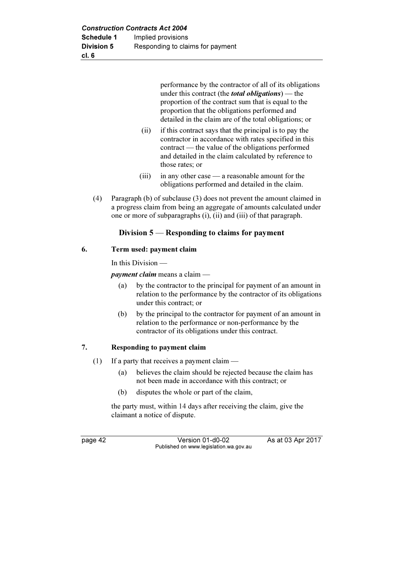performance by the contractor of all of its obligations under this contract (the *total obligations*) — the proportion of the contract sum that is equal to the proportion that the obligations performed and detailed in the claim are of the total obligations; or

- (ii) if this contract says that the principal is to pay the contractor in accordance with rates specified in this contract — the value of the obligations performed and detailed in the claim calculated by reference to those rates; or
- (iii) in any other case a reasonable amount for the obligations performed and detailed in the claim.
- (4) Paragraph (b) of subclause (3) does not prevent the amount claimed in a progress claim from being an aggregate of amounts calculated under one or more of subparagraphs (i), (ii) and (iii) of that paragraph.

#### Division 5 — Responding to claims for payment

#### 6. Term used: payment claim

In this Division —

payment claim means a claim —<br>(a) by the contractor to the p

- by the contractor to the principal for payment of an amount in relation to the performance by the contractor of its obligations under this contract; or
- (b) by the principal to the contractor for payment of an amount in relation to the performance or non-performance by the contractor of its obligations under this contract.

#### 7. Responding to payment claim

- (1) If a party that receives a payment claim
	- (a) believes the claim should be rejected because the claim has not been made in accordance with this contract; or
	- (b) disputes the whole or part of the claim,

 the party must, within 14 days after receiving the claim, give the claimant a notice of dispute.

page 42 Version 01-d0-02 As at 03 Apr 2017 Published on www.legislation.wa.gov.au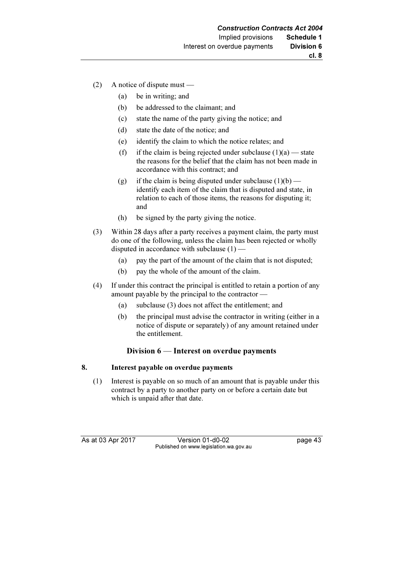- (2) A notice of dispute must
	- (a) be in writing; and
	- (b) be addressed to the claimant; and
	- (c) state the name of the party giving the notice; and
	- (d) state the date of the notice; and
	- (e) identify the claim to which the notice relates; and
	- (f) if the claim is being rejected under subclause  $(1)(a)$  state the reasons for the belief that the claim has not been made in accordance with this contract; and
	- (g) if the claim is being disputed under subclause  $(1)(b)$  identify each item of the claim that is disputed and state, in relation to each of those items, the reasons for disputing it; and
	- (h) be signed by the party giving the notice.
- (3) Within 28 days after a party receives a payment claim, the party must do one of the following, unless the claim has been rejected or wholly disputed in accordance with subclause (1) —
	- (a) pay the part of the amount of the claim that is not disputed;
	- (b) pay the whole of the amount of the claim.
- (4) If under this contract the principal is entitled to retain a portion of any amount payable by the principal to the contractor —
	- (a) subclause (3) does not affect the entitlement; and
	- (b) the principal must advise the contractor in writing (either in a notice of dispute or separately) of any amount retained under the entitlement.

#### Division 6 — Interest on overdue payments

#### 8. Interest payable on overdue payments

 (1) Interest is payable on so much of an amount that is payable under this contract by a party to another party on or before a certain date but which is unpaid after that date.

As at 03 Apr 2017 Version 01-d0-02 Page 43 Published on www.legislation.wa.gov.au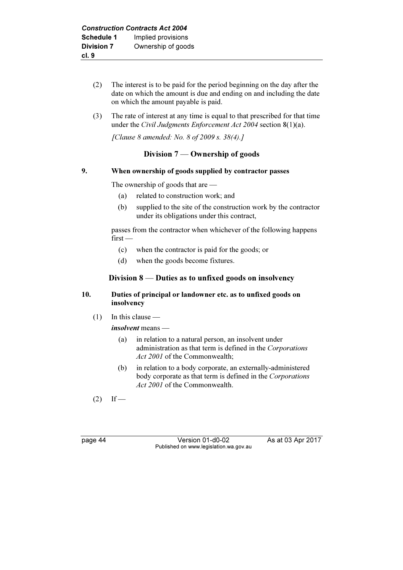- (2) The interest is to be paid for the period beginning on the day after the date on which the amount is due and ending on and including the date on which the amount payable is paid.
- (3) The rate of interest at any time is equal to that prescribed for that time under the Civil Judgments Enforcement Act 2004 section  $8(1)(a)$ .

[Clause 8 amended: No. 8 of 2009 s. 38(4).]

#### Division 7 — Ownership of goods

#### 9. When ownership of goods supplied by contractor passes

The ownership of goods that are —

- (a) related to construction work; and
- (b) supplied to the site of the construction work by the contractor under its obligations under this contract,

 passes from the contractor when whichever of the following happens first —

- (c) when the contractor is paid for the goods; or
- (d) when the goods become fixtures.

#### Division 8 — Duties as to unfixed goods on insolvency

#### 10. Duties of principal or landowner etc. as to unfixed goods on insolvency

(1) In this clause —

*insolvent* means —<br>(a) in relation t

- in relation to a natural person, an insolvent under administration as that term is defined in the Corporations Act 2001 of the Commonwealth:
- (b) in relation to a body corporate, an externally-administered body corporate as that term is defined in the Corporations Act 2001 of the Commonwealth.

 $(2)$  If —

page 44 Version 01-d0-02 As at 03 Apr 2017 Published on www.legislation.wa.gov.au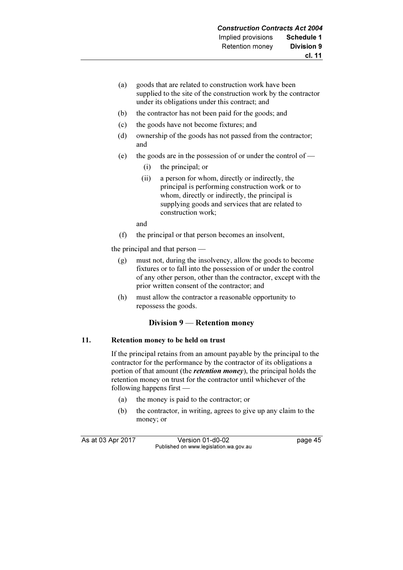- (a) goods that are related to construction work have been supplied to the site of the construction work by the contractor under its obligations under this contract; and
- (b) the contractor has not been paid for the goods; and
- (c) the goods have not become fixtures; and
- (d) ownership of the goods has not passed from the contractor; and
- (e) the goods are in the possession of or under the control of  $-$ 
	- (i) the principal; or
	- (ii) a person for whom, directly or indirectly, the principal is performing construction work or to whom, directly or indirectly, the principal is supplying goods and services that are related to construction work;

and

(f) the principal or that person becomes an insolvent,

the principal and that person —

- (g) must not, during the insolvency, allow the goods to become fixtures or to fall into the possession of or under the control of any other person, other than the contractor, except with the prior written consent of the contractor; and
- (h) must allow the contractor a reasonable opportunity to repossess the goods.

#### Division 9 — Retention money

#### 11. Retention money to be held on trust

 If the principal retains from an amount payable by the principal to the contractor for the performance by the contractor of its obligations a portion of that amount (the *retention money*), the principal holds the retention money on trust for the contractor until whichever of the following happens first —

- (a) the money is paid to the contractor; or
- (b) the contractor, in writing, agrees to give up any claim to the money; or

As at 03 Apr 2017 Version 01-d0-02 Page 45 Published on www.legislation.wa.gov.au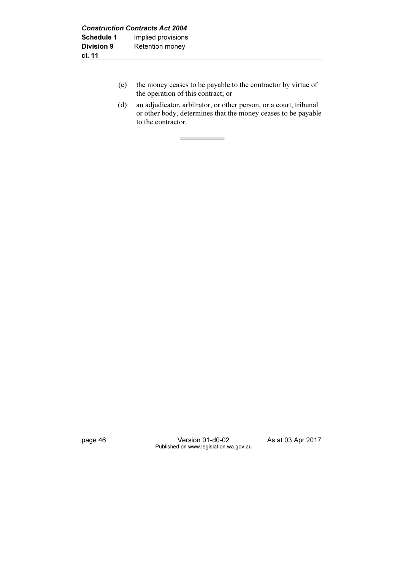- (c) the money ceases to be payable to the contractor by virtue of the operation of this contract; or
- (d) an adjudicator, arbitrator, or other person, or a court, tribunal or other body, determines that the money ceases to be payable to the contractor.

page 46 Version 01-d0-02 As at 03 Apr 2017 Published on www.legislation.wa.gov.au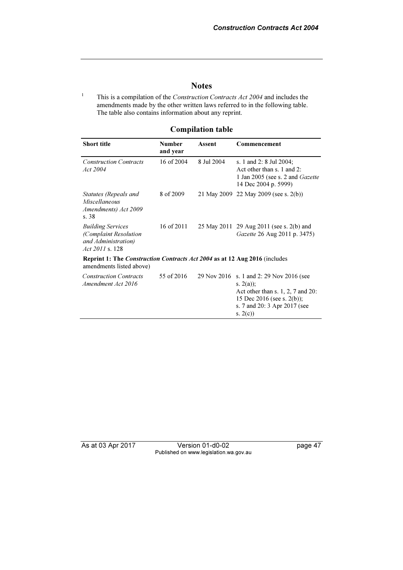#### **Notes**

1 This is a compilation of the Construction Contracts Act 2004 and includes the amendments made by the other written laws referred to in the following table. The table also contains information about any reprint.

#### Compilation table

| <b>Short title</b>                                                                                            | <b>Number</b><br>and year | Assent     | Commencement                                                                                                                                                                 |
|---------------------------------------------------------------------------------------------------------------|---------------------------|------------|------------------------------------------------------------------------------------------------------------------------------------------------------------------------------|
| <b>Construction Contracts</b><br>Act 2004                                                                     | 16 of 2004                | 8 Jul 2004 | s. 1 and 2: 8 Jul 2004;<br>Act other than s. 1 and 2:<br>1 Jan 2005 (see s. 2 and <i>Gazette</i><br>14 Dec 2004 p. 5999)                                                     |
| Statutes (Repeals and<br><b>Miscellaneous</b><br>Amendments) Act 2009<br>s.38                                 | 8 of 2009                 |            | 21 May 2009 22 May 2009 (see s. 2(b))                                                                                                                                        |
| <b>Building Services</b><br>(Complaint Resolution<br>and Administration)<br>Act 2011 s. 128                   | 16 of 2011                |            | 25 May 2011 29 Aug 2011 (see s. 2(b) and<br>Gazette 26 Aug 2011 p. 3475)                                                                                                     |
| <b>Reprint 1: The Construction Contracts Act 2004 as at 12 Aug 2016</b> (includes<br>amendments listed above) |                           |            |                                                                                                                                                                              |
| <b>Construction Contracts</b><br>Amendment Act 2016                                                           | 55 of 2016                |            | 29 Nov 2016 s. 1 and 2: 29 Nov 2016 (see<br>s. $2(a)$ ;<br>Act other than s. $1, 2, 7$ and $20$ :<br>15 Dec 2016 (see s. 2(b));<br>s. 7 and 20: 3 Apr 2017 (see<br>s. $2(c)$ |

As at 03 Apr 2017 Version 01-d0-02 page 47 Published on www.legislation.wa.gov.au